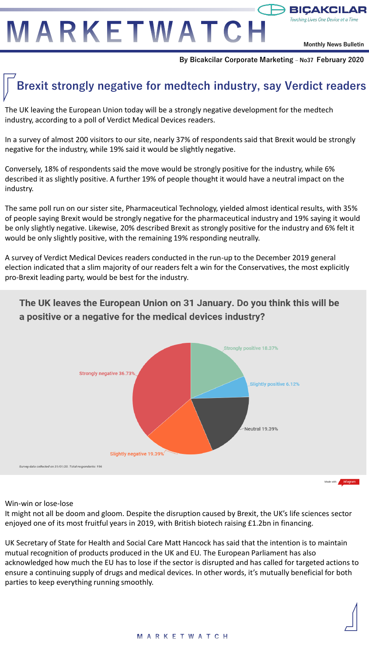MARKETWATCH

**Monthly News Bulletin**

 $\rightarrow$  BICAKCIL

Touching Lives One Device at a Time

**By Bicakcilar Corporate Marketing – No37 February 2020**

# **Brexit strongly negative for medtech industry, say Verdict readers**

The UK leaving the European Union today will be a strongly negative development for the medtech industry, according to a poll of Verdict Medical Devices readers.

In a survey of almost 200 visitors to our site, nearly 37% of respondents said that Brexit would be strongly negative for the industry, while 19% said it would be slightly negative.

Conversely, 18% of respondents said the move would be strongly positive for the industry, while 6% described it as slightly positive. A further 19% of people thought it would have a neutral impact on the industry.

The same poll run on our sister site, Pharmaceutical Technology, yielded almost identical results, with 35% of people saying Brexit would be strongly negative for the pharmaceutical industry and 19% saying it would be only slightly negative. Likewise, 20% described Brexit as strongly positive for the industry and 6% felt it would be only slightly positive, with the remaining 19% responding neutrally.

A survey of Verdict Medical Devices readers conducted in the run-up to the December 2019 general election indicated that a slim majority of our readers felt a win for the Conservatives, the most explicitly pro-Brexit leading party, would be best for the industry.



The UK leaves the European Union on 31 January. Do you think this will be a positive or a negative for the medical devices industry?

Win-win or lose-lose

It might not all be doom and gloom. Despite the disruption caused by Brexit, the UK's life sciences sector enjoyed one of its most fruitful years in 2019, with British biotech raising £1.2bn in financing.

UK Secretary of State for Health and Social Care Matt Hancock has said that the intention is to maintain mutual recognition of products produced in the UK and EU. The European Parliament has also acknowledged how much the EU has to lose if the sector is disrupted and has called for targeted actions to ensure a continuing supply of drugs and medical devices. In other words, it's mutually beneficial for both parties to keep everything running smoothly.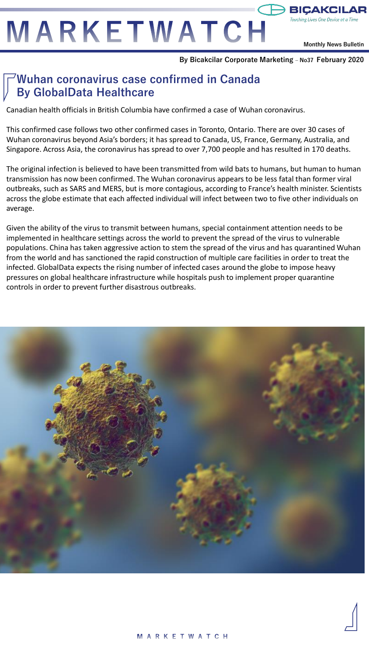MARKETWATCH

**Monthly News Bulletin**

### **By Bicakcilar Corporate Marketing – No37 February 2020**

# **Wuhan coronavirus case confirmed in Canada By GlobalData Healthcare**

Canadian health officials in British Columbia have confirmed a case of Wuhan coronavirus.

This confirmed case follows two other confirmed cases in Toronto, Ontario. There are over 30 cases of Wuhan coronavirus beyond Asia's borders; it has spread to Canada, US, France, Germany, Australia, and Singapore. Across Asia, the coronavirus has spread to over 7,700 people and has resulted in 170 deaths.

The original infection is believed to have been transmitted from wild bats to humans, but human to human transmission has now been confirmed. The Wuhan coronavirus appears to be less fatal than former viral outbreaks, such as SARS and MERS, but is more contagious, according to France's health minister. Scientists across the globe estimate that each affected individual will infect between two to five other individuals on average.

Given the ability of the virus to transmit between humans, special containment attention needs to be implemented in healthcare settings across the world to prevent the spread of the virus to vulnerable populations. China has taken aggressive action to stem the spread of the virus and has quarantined Wuhan from the world and has sanctioned the rapid construction of multiple care facilities in order to treat the infected. GlobalData expects the rising number of infected cases around the globe to impose heavy pressures on global healthcare infrastructure while hospitals push to implement proper quarantine controls in order to prevent further disastrous outbreaks.

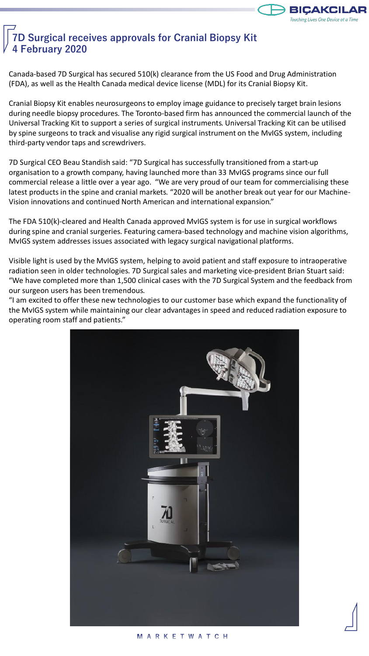

# **7D Surgical receives approvals for Cranial Biopsy Kit 4 February 2020**

Canada-based 7D Surgical has secured 510(k) clearance from the US Food and Drug Administration (FDA), as well as the Health Canada medical device license (MDL) for its Cranial Biopsy Kit.

Cranial Biopsy Kit enables neurosurgeons to employ image guidance to precisely target brain lesions during needle biopsy procedures. The Toronto-based firm has announced the commercial launch of the Universal Tracking Kit to support a series of surgical instruments. Universal Tracking Kit can be utilised by spine surgeons to track and visualise any rigid surgical instrument on the MvIGS system, including third-party vendor taps and screwdrivers.

7D Surgical CEO Beau Standish said: "7D Surgical has successfully transitioned from a start-up organisation to a growth company, having launched more than 33 MvIGS programs since our full commercial release a little over a year ago. "We are very proud of our team for commercialising these latest products in the spine and cranial markets. "2020 will be another break out year for our Machine-Vision innovations and continued North American and international expansion."

The FDA 510(k)-cleared and Health Canada approved MvIGS system is for use in surgical workflows during spine and cranial surgeries. Featuring camera-based technology and machine vision algorithms, MvIGS system addresses issues associated with legacy surgical navigational platforms.

Visible light is used by the MvIGS system, helping to avoid patient and staff exposure to intraoperative radiation seen in older technologies. 7D Surgical sales and marketing vice-president Brian Stuart said: "We have completed more than 1,500 clinical cases with the 7D Surgical System and the feedback from our surgeon users has been tremendous.

"I am excited to offer these new technologies to our customer base which expand the functionality of the MvIGS system while maintaining our clear advantages in speed and reduced radiation exposure to operating room staff and patients."

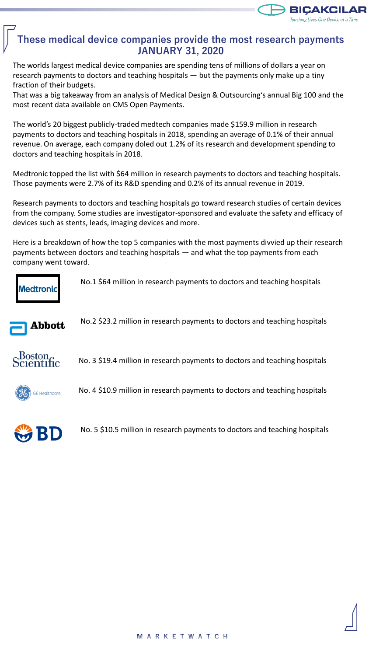

## **These medical device companies provide the most research payments JANUARY 31, 2020**

The worlds largest medical device companies are spending tens of millions of dollars a year on research payments to doctors and teaching hospitals — but the payments only make up a tiny fraction of their budgets.

That was a big takeaway from an analysis of Medical Design & Outsourcing's annual Big 100 and the most recent data available on CMS Open Payments.

The world's 20 biggest publicly-traded medtech companies made \$159.9 million in research payments to doctors and teaching hospitals in 2018, spending an average of 0.1% of their annual revenue. On average, each company doled out 1.2% of its research and development spending to doctors and teaching hospitals in 2018.

Medtronic topped the list with \$64 million in research payments to doctors and teaching hospitals. Those payments were 2.7% of its R&D spending and 0.2% of its annual revenue in 2019.

Research payments to doctors and teaching hospitals go toward research studies of certain devices from the company. Some studies are investigator-sponsored and evaluate the safety and efficacy of devices such as stents, leads, imaging devices and more.

Here is a breakdown of how the top 5 companies with the most payments divvied up their research payments between doctors and teaching hospitals — and what the top payments from each company went toward.



No.1 \$64 million in research payments to doctors and teaching hospitals



No.2 \$23.2 million in research payments to doctors and teaching hospitals

Boston<br>cientific No. 3 \$19.4 million in research payments to doctors and teaching hospitals



No. 4 \$10.9 million in research payments to doctors and teaching hospitals



No. 5 \$10.5 million in research payments to doctors and teaching hospitals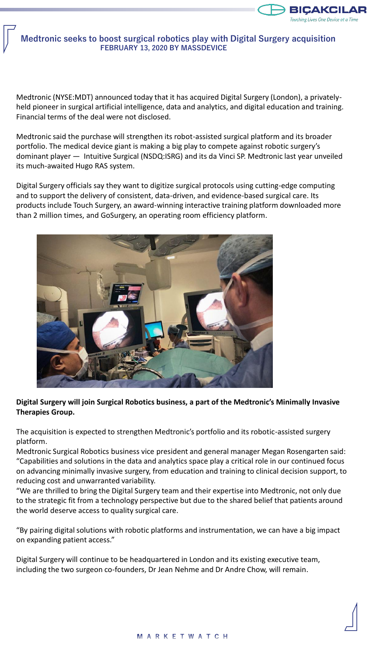

## **Medtronic seeks to boost surgical robotics play with Digital Surgery acquisition FEBRUARY 13, 2020 BY MASSDEVICE**

Medtronic (NYSE:MDT) announced today that it has acquired Digital Surgery (London), a privatelyheld pioneer in surgical artificial intelligence, data and analytics, and digital education and training. Financial terms of the deal were not disclosed.

Medtronic said the purchase will strengthen its robot-assisted surgical platform and its broader portfolio. The medical device giant is making a big play to compete against robotic surgery's dominant player — Intuitive Surgical (NSDQ:ISRG) and its da Vinci SP. Medtronic last year unveiled its much-awaited Hugo RAS system.

Digital Surgery officials say they want to digitize surgical protocols using cutting-edge computing and to support the delivery of consistent, data-driven, and evidence-based surgical care. Its products include Touch Surgery, an award-winning interactive training platform downloaded more than 2 million times, and GoSurgery, an operating room efficiency platform.



## **Digital Surgery will join Surgical Robotics business, a part of the Medtronic's Minimally Invasive Therapies Group.**

The acquisition is expected to strengthen Medtronic's portfolio and its robotic-assisted surgery platform.

Medtronic Surgical Robotics business vice president and general manager Megan Rosengarten said: "Capabilities and solutions in the data and analytics space play a critical role in our continued focus on advancing minimally invasive surgery, from education and training to clinical decision support, to reducing cost and unwarranted variability.

"We are thrilled to bring the Digital Surgery team and their expertise into Medtronic, not only due to the strategic fit from a technology perspective but due to the shared belief that patients around the world deserve access to quality surgical care.

"By pairing digital solutions with robotic platforms and instrumentation, we can have a big impact on expanding patient access."

Digital Surgery will continue to be headquartered in London and its existing executive team, including the two surgeon co-founders, Dr Jean Nehme and Dr Andre Chow, will remain.